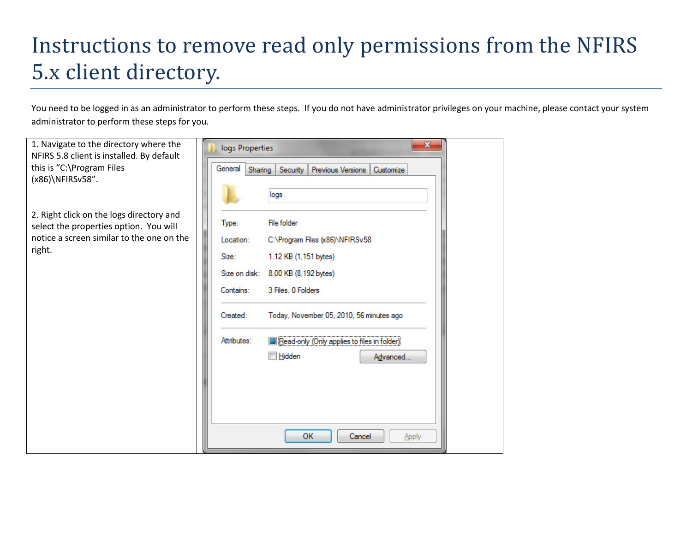## Instructions to remove read only permissions from the NFIRS 5.x client directory.

You need to be logged in as an administrator to perform these steps. If you do not have administrator privileges on your machine, please contact your system administrator to perform these steps for you.

| 1. Navigate to the directory where the<br>NFIRS 5.8 client is installed. By default | $\mathbf{x}$<br>logs Properties                                  |  |
|-------------------------------------------------------------------------------------|------------------------------------------------------------------|--|
| this is "C:\Program Files                                                           | General<br>Sharing<br>Security<br>Previous Versions<br>Customize |  |
| (x86)\NFIRSv58".                                                                    |                                                                  |  |
|                                                                                     | logs                                                             |  |
|                                                                                     |                                                                  |  |
| 2. Right click on the logs directory and                                            | File folder<br>Type:                                             |  |
| select the properties option. You will                                              |                                                                  |  |
| notice a screen similar to the one on the                                           | C:\Program Files (x86)\NFIRSv58<br>Location:                     |  |
| right.                                                                              | 1.12 KB (1,151 bytes)<br>Size:                                   |  |
|                                                                                     | Size on disk:<br>8.00 KB (8,192 bytes)                           |  |
|                                                                                     |                                                                  |  |
|                                                                                     | 3 Files, 0 Folders<br>Contains:                                  |  |
|                                                                                     | Created:<br>Today, November 05, 2010, 56 minutes ago             |  |
|                                                                                     | Attributes:<br>Read-only (Only applies to files in folder)       |  |
|                                                                                     | Hidden<br>Advanced                                               |  |
|                                                                                     |                                                                  |  |
|                                                                                     |                                                                  |  |
|                                                                                     |                                                                  |  |
|                                                                                     |                                                                  |  |
|                                                                                     |                                                                  |  |
|                                                                                     | OK<br>Cancel<br>Apply                                            |  |
|                                                                                     |                                                                  |  |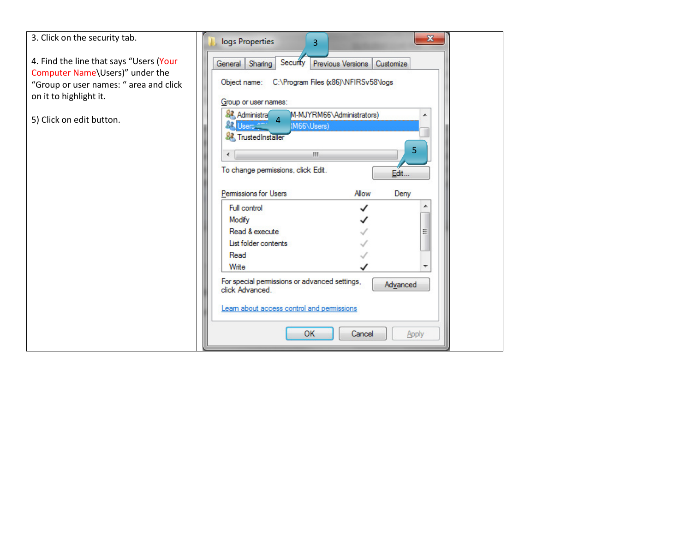| 3. Click on the security tab.                                                                                                                  | $\mathbf{x}$<br>logs Properties<br>R.                                                                                                                                                                                                                                                                                                              |
|------------------------------------------------------------------------------------------------------------------------------------------------|----------------------------------------------------------------------------------------------------------------------------------------------------------------------------------------------------------------------------------------------------------------------------------------------------------------------------------------------------|
| 4. Find the line that says "Users (Your<br>Computer Name\Users)" under the<br>"Group or user names: " area and click<br>on it to highlight it. | Security<br>Previous Versions<br>Customize<br>General<br>Sharing<br>Object name: C:\Program Files (x86)\NFIRSv58\logs<br>Group or user names:<br><b>SA</b> Administra<br>M-MJYRM66\Administrators)                                                                                                                                                 |
| 5) Click on edit button.                                                                                                                       | 4<br>IM66\Users)<br>Jsers <sup>min</sup><br><b>&amp;</b> TrustedInstaller<br>5<br>m.<br>To change permissions, click Edit.<br>Edit<br>Permissions for Users<br>Allow<br>Derry<br>Full control<br>Modify<br>Read & execute<br>List folder contents<br>Read<br>Write<br>For special permissions or advanced settings,<br>Advanced<br>click Advanced. |
|                                                                                                                                                | Learn about access control and permissions<br><b>OK</b><br>Cancel<br>Apply                                                                                                                                                                                                                                                                         |